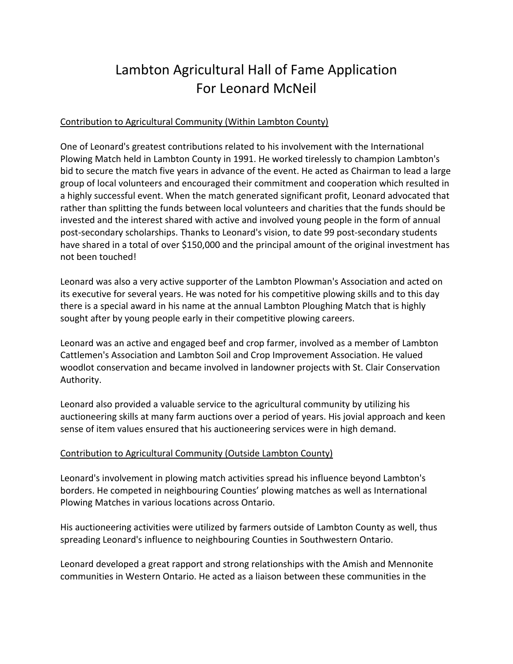# Lambton Agricultural Hall of Fame Application For Leonard McNeil

# Contribution to Agricultural Community (Within Lambton County)

One of Leonard's greatest contributions related to his involvement with the International Plowing Match held in Lambton County in 1991. He worked tirelessly to champion Lambton's bid to secure the match five years in advance of the event. He acted as Chairman to lead a large group of local volunteers and encouraged their commitment and cooperation which resulted in a highly successful event. When the match generated significant profit, Leonard advocated that rather than splitting the funds between local volunteers and charities that the funds should be invested and the interest shared with active and involved young people in the form of annual post‐secondary scholarships. Thanks to Leonard's vision, to date 99 post‐secondary students have shared in a total of over \$150,000 and the principal amount of the original investment has not been touched!

Leonard was also a very active supporter of the Lambton Plowman's Association and acted on its executive for several years. He was noted for his competitive plowing skills and to this day there is a special award in his name at the annual Lambton Ploughing Match that is highly sought after by young people early in their competitive plowing careers.

Leonard was an active and engaged beef and crop farmer, involved as a member of Lambton Cattlemen's Association and Lambton Soil and Crop Improvement Association. He valued woodlot conservation and became involved in landowner projects with St. Clair Conservation Authority.

Leonard also provided a valuable service to the agricultural community by utilizing his auctioneering skills at many farm auctions over a period of years. His jovial approach and keen sense of item values ensured that his auctioneering services were in high demand.

# Contribution to Agricultural Community (Outside Lambton County)

Leonard's involvement in plowing match activities spread his influence beyond Lambton's borders. He competed in neighbouring Counties' plowing matches as well as International Plowing Matches in various locations across Ontario.

His auctioneering activities were utilized by farmers outside of Lambton County as well, thus spreading Leonard's influence to neighbouring Counties in Southwestern Ontario.

Leonard developed a great rapport and strong relationships with the Amish and Mennonite communities in Western Ontario. He acted as a liaison between these communities in the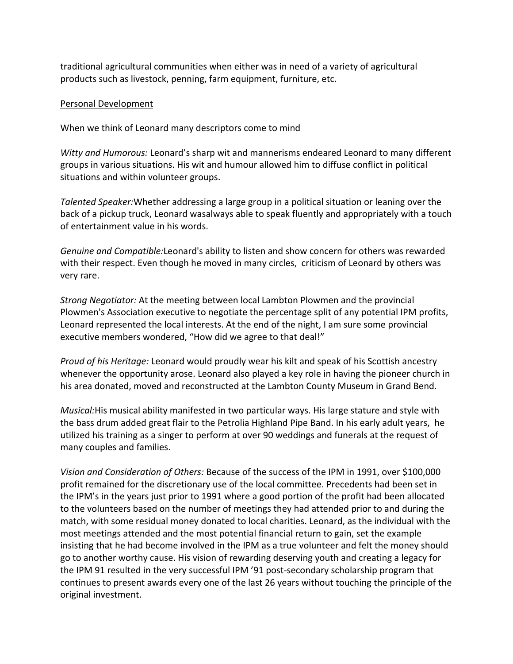traditional agricultural communities when either was in need of a variety of agricultural products such as livestock, penning, farm equipment, furniture, etc.

## Personal Development

When we think of Leonard many descriptors come to mind

*Witty and Humorous:* Leonard's sharp wit and mannerisms endeared Leonard to many different groups in various situations. His wit and humour allowed him to diffuse conflict in political situations and within volunteer groups.

*Talented Speaker:*Whether addressing a large group in a political situation or leaning over the back of a pickup truck, Leonard wasalways able to speak fluently and appropriately with a touch of entertainment value in his words.

*Genuine and Compatible:*Leonard's ability to listen and show concern for others was rewarded with their respect. Even though he moved in many circles, criticism of Leonard by others was very rare.

*Strong Negotiator:* At the meeting between local Lambton Plowmen and the provincial Plowmen's Association executive to negotiate the percentage split of any potential IPM profits, Leonard represented the local interests. At the end of the night, I am sure some provincial executive members wondered, "How did we agree to that deal!"

*Proud of his Heritage:* Leonard would proudly wear his kilt and speak of his Scottish ancestry whenever the opportunity arose. Leonard also played a key role in having the pioneer church in his area donated, moved and reconstructed at the Lambton County Museum in Grand Bend.

*Musical:*His musical ability manifested in two particular ways. His large stature and style with the bass drum added great flair to the Petrolia Highland Pipe Band. In his early adult years, he utilized his training as a singer to perform at over 90 weddings and funerals at the request of many couples and families.

*Vision and Consideration of Others:* Because of the success of the IPM in 1991, over \$100,000 profit remained for the discretionary use of the local committee. Precedents had been set in the IPM's in the years just prior to 1991 where a good portion of the profit had been allocated to the volunteers based on the number of meetings they had attended prior to and during the match, with some residual money donated to local charities. Leonard, as the individual with the most meetings attended and the most potential financial return to gain, set the example insisting that he had become involved in the IPM as a true volunteer and felt the money should go to another worthy cause. His vision of rewarding deserving youth and creating a legacy for the IPM 91 resulted in the very successful IPM '91 post‐secondary scholarship program that continues to present awards every one of the last 26 years without touching the principle of the original investment.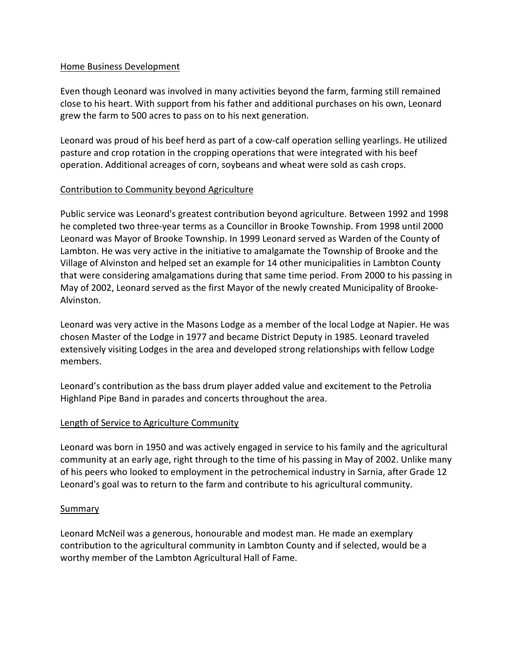## Home Business Development

Even though Leonard was involved in many activities beyond the farm, farming still remained close to his heart. With support from his father and additional purchases on his own, Leonard grew the farm to 500 acres to pass on to his next generation.

Leonard was proud of his beef herd as part of a cow‐calf operation selling yearlings. He utilized pasture and crop rotation in the cropping operations that were integrated with his beef operation. Additional acreages of corn, soybeans and wheat were sold as cash crops.

# Contribution to Community beyond Agriculture

Public service was Leonard's greatest contribution beyond agriculture. Between 1992 and 1998 he completed two three‐year terms as a Councillor in Brooke Township. From 1998 until 2000 Leonard was Mayor of Brooke Township. In 1999 Leonard served as Warden of the County of Lambton. He was very active in the initiative to amalgamate the Township of Brooke and the Village of Alvinston and helped set an example for 14 other municipalities in Lambton County that were considering amalgamations during that same time period. From 2000 to his passing in May of 2002, Leonard served as the first Mayor of the newly created Municipality of Brooke‐ Alvinston.

Leonard was very active in the Masons Lodge as a member of the local Lodge at Napier. He was chosen Master of the Lodge in 1977 and became District Deputy in 1985. Leonard traveled extensively visiting Lodges in the area and developed strong relationships with fellow Lodge members.

Leonard's contribution as the bass drum player added value and excitement to the Petrolia Highland Pipe Band in parades and concerts throughout the area.

# Length of Service to Agriculture Community

Leonard was born in 1950 and was actively engaged in service to his family and the agricultural community at an early age, right through to the time of his passing in May of 2002. Unlike many of his peers who looked to employment in the petrochemical industry in Sarnia, after Grade 12 Leonard's goal was to return to the farm and contribute to his agricultural community.

### Summary

Leonard McNeil was a generous, honourable and modest man. He made an exemplary contribution to the agricultural community in Lambton County and if selected, would be a worthy member of the Lambton Agricultural Hall of Fame.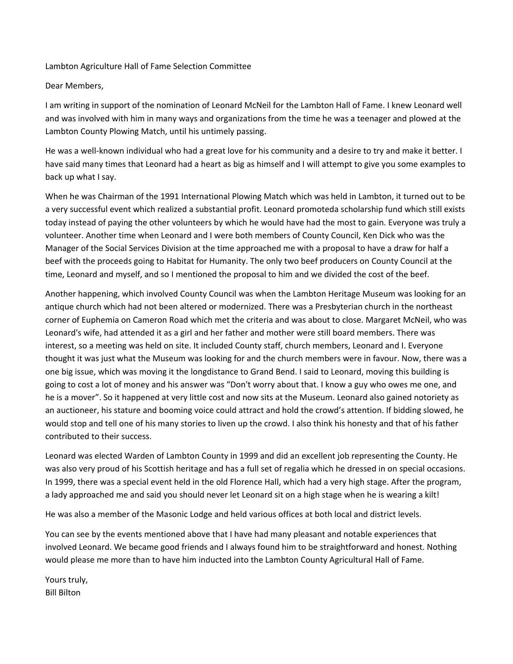#### Lambton Agriculture Hall of Fame Selection Committee

#### Dear Members,

I am writing in support of the nomination of Leonard McNeil for the Lambton Hall of Fame. I knew Leonard well and was involved with him in many ways and organizations from the time he was a teenager and plowed at the Lambton County Plowing Match, until his untimely passing.

He was a well-known individual who had a great love for his community and a desire to try and make it better. I have said many times that Leonard had a heart as big as himself and I will attempt to give you some examples to back up what I say.

When he was Chairman of the 1991 International Plowing Match which was held in Lambton, it turned out to be a very successful event which realized a substantial profit. Leonard promoteda scholarship fund which still exists today instead of paying the other volunteers by which he would have had the most to gain. Everyone was truly a volunteer. Another time when Leonard and I were both members of County Council, Ken Dick who was the Manager of the Social Services Division at the time approached me with a proposal to have a draw for half a beef with the proceeds going to Habitat for Humanity. The only two beef producers on County Council at the time, Leonard and myself, and so I mentioned the proposal to him and we divided the cost of the beef.

Another happening, which involved County Council was when the Lambton Heritage Museum was looking for an antique church which had not been altered or modernized. There was a Presbyterian church in the northeast corner of Euphemia on Cameron Road which met the criteria and was about to close. Margaret McNeil, who was Leonard's wife, had attended it as a girl and her father and mother were still board members. There was interest, so a meeting was held on site. It included County staff, church members, Leonard and I. Everyone thought it was just what the Museum was looking for and the church members were in favour. Now, there was a one big issue, which was moving it the longdistance to Grand Bend. I said to Leonard, moving this building is going to cost a lot of money and his answer was "Don't worry about that. I know a guy who owes me one, and he is a mover". So it happened at very little cost and now sits at the Museum. Leonard also gained notoriety as an auctioneer, his stature and booming voice could attract and hold the crowd's attention. If bidding slowed, he would stop and tell one of his many stories to liven up the crowd. I also think his honesty and that of his father contributed to their success.

Leonard was elected Warden of Lambton County in 1999 and did an excellent job representing the County. He was also very proud of his Scottish heritage and has a full set of regalia which he dressed in on special occasions. In 1999, there was a special event held in the old Florence Hall, which had a very high stage. After the program, a lady approached me and said you should never let Leonard sit on a high stage when he is wearing a kilt!

He was also a member of the Masonic Lodge and held various offices at both local and district levels.

You can see by the events mentioned above that I have had many pleasant and notable experiences that involved Leonard. We became good friends and I always found him to be straightforward and honest. Nothing would please me more than to have him inducted into the Lambton County Agricultural Hall of Fame.

Yours truly, Bill Bilton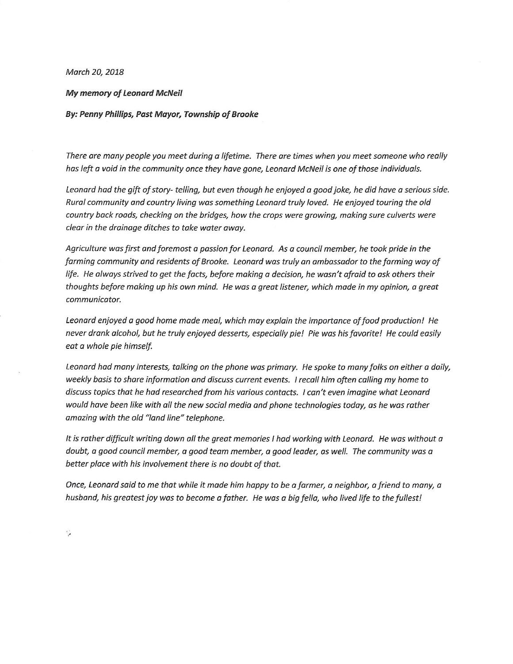March 20, 2018

#### **My memory of Leonard McNeil**

By: Penny Phillips, Past Mayor, Township of Brooke

There are many people you meet during a lifetime. There are times when you meet someone who really has left a void in the community once they have gone, Leonard McNeil is one of those individuals.

Leonard had the gift of story- telling, but even though he enjoyed a good joke, he did have a serious side. Rural community and country living was something Leonard truly loved. He enjoyed touring the old country back roads, checking on the bridges, how the crops were growing, making sure culverts were clear in the drainage ditches to take water away.

Agriculture was first and foremost a passion for Leonard. As a council member, he took pride in the farming community and residents of Brooke. Leonard was truly an ambassador to the farming way of life. He always strived to get the facts, before making a decision, he wasn't afraid to ask others their thoughts before making up his own mind. He was a great listener, which made in my opinion, a great communicator.

Leonard enjoyed a good home made meal, which may explain the importance of food production! He never drank alcohol, but he truly enjoyed desserts, especially pie! Pie was his favorite! He could easily eat a whole pie himself.

Leonard had many interests, talking on the phone was primary. He spoke to many folks on either a daily, weekly basis to share information and discuss current events. I recall him often calling my home to discuss topics that he had researched from his various contacts. I can't even imagine what Leonard would have been like with all the new social media and phone technologies today, as he was rather amazing with the old "land line" telephone.

It is rather difficult writing down all the great memories I had working with Leonard. He was without a doubt, a good council member, a good team member, a good leader, as well. The community was a better place with his involvement there is no doubt of that.

Once, Leonard said to me that while it made him happy to be a farmer, a neighbor, a friend to many, a husband, his greatest joy was to become a father. He was a big fella, who lived life to the fullest!

Ş.